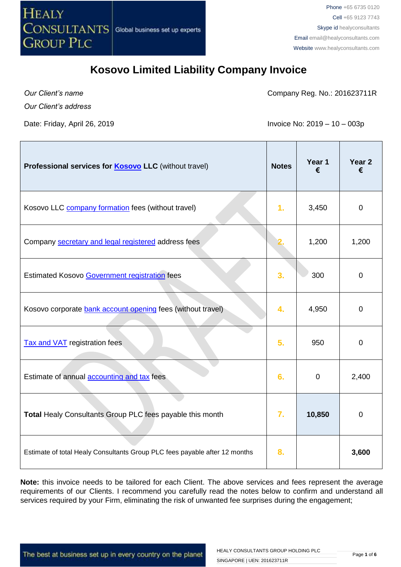

*Our Client's name*

Company Reg. No.: 201623711R

*Our Client's address*

Date: Friday, April 26, 2019 **Invoice No: 2019** - 10 – 003p

| Professional services for <b>Kosovo LLC</b> (without travel)               | <b>Notes</b>     | Year 1<br>€ | Year <sub>2</sub><br>€ |
|----------------------------------------------------------------------------|------------------|-------------|------------------------|
| Kosovo LLC <b>company formation</b> fees (without travel)                  | 1 <sub>r</sub>   | 3,450       | $\mathbf 0$            |
| Company secretary and legal registered address fees                        |                  | 1,200       | 1,200                  |
| <b>Estimated Kosovo Government registration fees</b>                       | 3.               | 300         | $\overline{0}$         |
| Kosovo corporate bank account opening fees (without travel)                | 4.               | 4,950       | $\overline{0}$         |
| <b>Tax and VAT</b> registration fees                                       | 5.               | 950         | $\overline{0}$         |
| Estimate of annual accounting and tax fees                                 | 6.               | $\mathbf 0$ | 2,400                  |
| Total Healy Consultants Group PLC fees payable this month                  | $\overline{7}$ . | 10,850      | $\overline{0}$         |
| Estimate of total Healy Consultants Group PLC fees payable after 12 months | 8.               |             | 3,600                  |

**Note:** this invoice needs to be tailored for each Client. The above services and fees represent the average requirements of our Clients. I recommend you carefully read the notes below to confirm and understand all services required by your Firm, eliminating the risk of unwanted fee surprises during the engagement;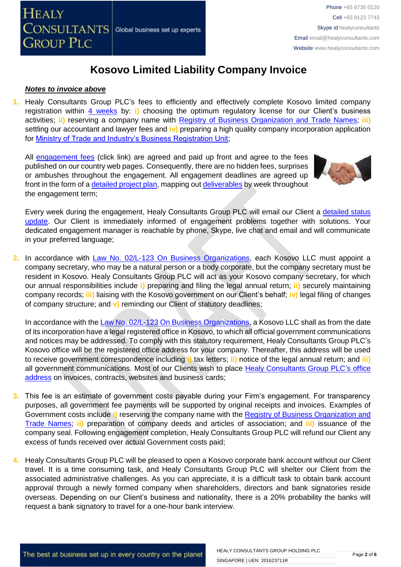### *Notes to invoice above*

**1.** Healy Consultants Group PLC's fees to efficiently and effectively complete Kosovo limited company registration within [4 weeks](http://www.healyconsultants.com/kosovo-company-registration/fees-timelines/#timelines) by: **i)** choosing the optimum regulatory license for our Client's business activities; **ii)** reserving a company name with [Registry of Business Organization and Trade Names;](http://www.arbk.org/) **iii)** settling our accountant and lawyer fees and **iv)** preparing a high quality company incorporation application for [Ministry of Trade and Industry's Business Registration Unit;](http://www.arbk.org/)

All [engagement fees](http://www.healyconsultants.com/company-registration-fees/) (click link) are agreed and paid up front and agree to the fees published on our country web pages. Consequently, there are no hidden fees, surprises or ambushes throughout the engagement. All engagement deadlines are agreed up front in the form of [a detailed project plan,](http://www.healyconsultants.com/index-important-links/example-project-plan/) mapping out [deliverables](http://www.healyconsultants.com/deliverables-to-our-clients/) by week throughout the engagement term;



Every week during the engagement, Healy Consultants Group PLC will email our Client a [detailed status](http://www.healyconsultants.com/index-important-links/weekly-engagement-status-email/)  [update.](http://www.healyconsultants.com/index-important-links/weekly-engagement-status-email/) Our Client is immediately informed of engagement problems together with solutions. Your dedicated engagement manager is reachable by phone, Skype, live chat and email and will communicate in your preferred language;

2. In accordance with [Law No. 02/L-123 On Business Organizations,](http://www.gazetazyrtare.com/e-gov/index.php?option=com_content&task=view&id=267&Itemid=28) each Kosovo LLC must appoint a company secretary, who may be a natural person or a body corporate, but the company secretary must be resident in Kosovo. Healy Consultants Group PLC will act as your Kosovo company secretary, for which our annual responsibilities include **i)** preparing and filing the legal annual return; **ii)** securely maintaining company records; **iii)** liaising with the Kosovo government on our Client's behalf; **iv)** legal filing of changes of company structure; and **v)** reminding our Client of statutory deadlines;

In accordance with the [Law No. 02/L-123 On Business Organizations,](http://www.gazetazyrtare.com/e-gov/index.php?option=com_content&task=view&id=267&Itemid=28) a Kosovo LLC shall as from the date of its incorporation have a legal registered office in Kosovo, to which all official government communications and notices may be addressed. To comply with this statutory requirement, Healy Consultants Group PLC's Kosovo office will be the registered office address for your company. Thereafter, this address will be used to receive government correspondence including **i)** tax letters; **ii)** notice of the legal annual return; and **iii)**  all government communications. Most of our Clients wish to place [Healy Consultants](http://www.healyconsultants.com/corporate-outsourcing-services/company-secretary-and-legal-registered-office/) Group PLC's office [address](http://www.healyconsultants.com/corporate-outsourcing-services/company-secretary-and-legal-registered-office/) on invoices, contracts, websites and business cards;

- **3.** This fee is an estimate of government costs payable during your Firm's engagement. For transparency purposes, all government fee payments will be supported by original receipts and invoices. Examples of Government costs include **i)** reserving the company name with the [Registry of Business Organization and](http://www.arbk.org/)  [Trade Names;](http://www.arbk.org/) **ii)** preparation of company deeds and articles of association; and **iii)** issuance of the company seal. Following engagement completion, Healy Consultants Group PLC will refund our Client any excess of funds received over actual Government costs paid;
- **4.** Healy Consultants Group PLC will be pleased to open a Kosovo corporate bank account without our Client travel. It is a time consuming task, and Healy Consultants Group PLC will shelter our Client from the associated administrative challenges. As you can appreciate, it is a difficult task to obtain bank account approval through a newly formed company when shareholders, directors and bank signatories reside overseas. Depending on our Client's business and nationality, there is a 20% probability the banks will request a bank signatory to travel for a one-hour bank interview.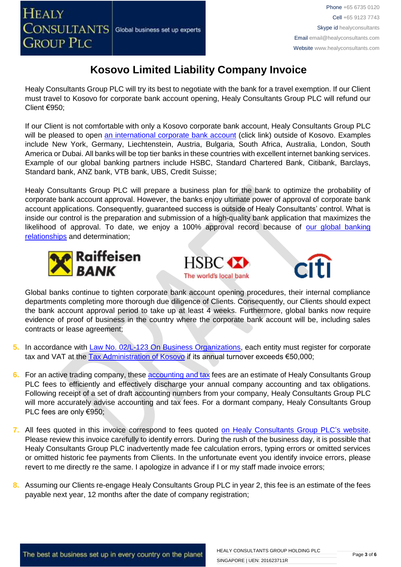Healy Consultants Group PLC will try its best to negotiate with the bank for a travel exemption. If our Client must travel to Kosovo for corporate bank account opening, Healy Consultants Group PLC will refund our Client €950;

If our Client is not comfortable with only a Kosovo corporate bank account, Healy Consultants Group PLC will be pleased to open [an international corporate bank account](http://www.healyconsultants.com/international-banking/) (click link) outside of Kosovo. Examples include New York, Germany, Liechtenstein, Austria, Bulgaria, South Africa, Australia, London, South America or Dubai. All banks will be top tier banks in these countries with excellent internet banking services. Example of our global banking partners include HSBC, Standard Chartered Bank, Citibank, Barclays, Standard bank, ANZ bank, VTB bank, UBS, Credit Suisse;

Healy Consultants Group PLC will prepare a business plan for the bank to optimize the probability of corporate bank account approval. However, the banks enjoy ultimate power of approval of corporate bank account applications. Consequently, guaranteed success is outside of Healy Consultants' control. What is inside our control is the preparation and submission of a high-quality bank application that maximizes the likelihood of approval. To date, we enjoy a 100% approval record because of our global banking [relationships](http://www.healyconsultants.com/international-banking/corporate-accounts/) and determination;







Global banks continue to tighten corporate bank account opening procedures, their internal compliance departments completing more thorough due diligence of Clients. Consequently, our Clients should expect the bank account approval period to take up at least 4 weeks. Furthermore, global banks now require evidence of proof of business in the country where the corporate bank account will be, including sales contracts or lease agreement;

- **5.** In accordance with [Law No. 02/L-123 On Business Organizations,](http://www.gazetazyrtare.com/e-gov/index.php?option=com_content&task=view&id=267&Itemid=28) each entity must register for corporate tax and VAT at the [Tax Administration of Kosovo](http://www.atk-ks.org/?lang=en) if its annual turnover exceeds €50,000;
- **6.** For an active trading company, thes[e accounting and tax](http://www.healyconsultants.com/kosovo-company-registration/accounting-legal/) fees are an estimate of Healy Consultants Group PLC fees to efficiently and effectively discharge your annual company accounting and tax obligations. Following receipt of a set of draft accounting numbers from your company, Healy Consultants Group PLC will more accurately advise accounting and tax fees. For a dormant company, Healy Consultants Group PLC fees are only €950;
- **7.** All fees quoted in this invoice correspond to fees quoted [on Healy Consultants](http://www.healyconsultants.com/company-registration-fees/) Group PLC's website. Please review this invoice carefully to identify errors. During the rush of the business day, it is possible that Healy Consultants Group PLC inadvertently made fee calculation errors, typing errors or omitted services or omitted historic fee payments from Clients. In the unfortunate event you identify invoice errors, please revert to me directly re the same. I apologize in advance if I or my staff made invoice errors;
- **8.** Assuming our Clients re-engage Healy Consultants Group PLC in year 2, this fee is an estimate of the fees payable next year, 12 months after the date of company registration;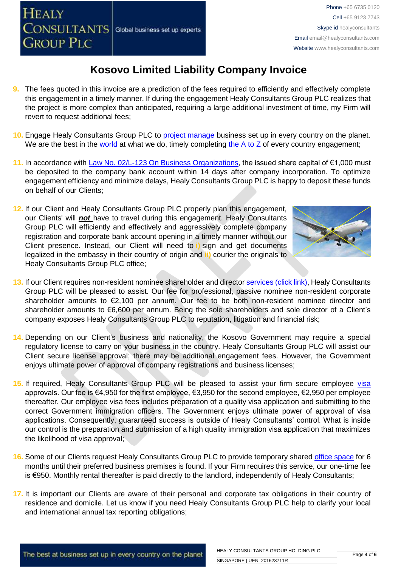**HEALY** 

CONSULTANTS

**GROUP PLC** 

- **10.** Engage Healy Consultants Group PLC to [project manage](http://www.healyconsultants.com/project-manage-engagements/) business set up in every country on the planet. We are the best in the [world](http://www.healyconsultants.com/best-in-the-world/) at what we do, timely completing the  $A$  to  $Z$  of every country engagement;
- 11. In accordance with [Law No. 02/L-123 On Business Organizations,](http://www.gazetazyrtare.com/e-gov/index.php?option=com_content&task=view&id=267&Itemid=28) the issued share capital of €1,000 must be deposited to the company bank account within 14 days after company incorporation. To optimize engagement efficiency and minimize delays, Healy Consultants Group PLC is happy to deposit these funds on behalf of our Clients;
- **12.** If our Client and Healy Consultants Group PLC properly plan this engagement, our Clients' will *not* have to travel during this engagement. Healy Consultants Group PLC will efficiently and effectively and aggressively complete company registration and corporate bank account opening in a timely manner without our Client presence. Instead, our Client will need to **i)** sign and get documents legalized in the embassy in their country of origin and **ii)** courier the originals to Healy Consultants Group PLC office;

Global business set up experts

- **13.** If our Client requires non-resident nominee shareholder and director services [\(click link\),](http://www.healyconsultants.com/corporate-outsourcing-services/nominee-shareholders-directors/) Healy Consultants Group PLC will be pleased to assist. Our fee for professional, passive nominee non-resident corporate shareholder amounts to €2,100 per annum. Our fee to be both non-resident nominee director and shareholder amounts to €6,600 per annum. Being the sole shareholders and sole director of a Client's company exposes Healy Consultants Group PLC to reputation, litigation and financial risk;
- **14.** Depending on our Client's business and nationality, the Kosovo Government may require a special regulatory license to carry on your business in the country. Healy Consultants Group PLC will assist our Client secure license approval; there may be additional engagement fees. However, the Government enjoys ultimate power of approval of company registrations and business licenses;
- 15. If required, Healy Consultants Group PLC will be pleased to assist your firm secure employee [visa](http://www.healyconsultants.com/support-services/) approvals. Our fee is €4,950 for the first employee, €3,950 for the second employee, €2,950 per employee thereafter. Our employee visa fees includes preparation of a quality visa application and submitting to the correct Government immigration officers. The Government enjoys ultimate power of approval of visa applications. Consequently, guaranteed success is outside of Healy Consultants' control. What is inside our control is the preparation and submission of a high quality immigration visa application that maximizes the likelihood of visa approval;
- **16.** Some of our Clients request Healy Consultants Group PLC to provide temporary shared [office space](http://www.healyconsultants.com/virtual-office/) for 6 months until their preferred business premises is found. If your Firm requires this service, our one-time fee is €950. Monthly rental thereafter is paid directly to the landlord, independently of Healy Consultants;
- **17.** It is important our Clients are aware of their personal and corporate tax obligations in their country of residence and domicile. Let us know if you need Healy Consultants Group PLC help to clarify your local and international annual tax reporting obligations;

HEALY CONSULTANTS GROUP HOLDING PLC

SINGAPORE | UEN: 201623711R

# **Kosovo Limited Liability Company Invoice**



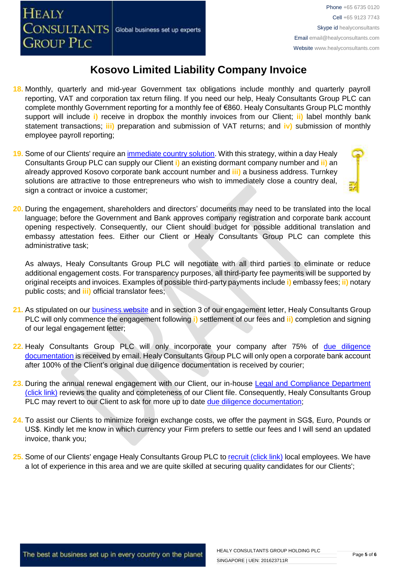- **18.** Monthly, quarterly and mid-year Government tax obligations include monthly and quarterly payroll reporting, VAT and corporation tax return filing. If you need our help, Healy Consultants Group PLC can complete monthly Government reporting for a monthly fee of €860. Healy Consultants Group PLC monthly support will include **i)** receive in dropbox the monthly invoices from our Client; **ii)** label monthly bank statement transactions; **iii)** preparation and submission of VAT returns; and **iv)** submission of monthly employee payroll reporting;
- 19. Some of our Clients' require an *immediate country solution*. With this strategy, within a day Healy Consultants Group PLC can supply our Client **i)** an existing dormant company number and **ii)** an already approved Kosovo corporate bank account number and **iii)** a business address. Turnkey solutions are attractive to those entrepreneurs who wish to immediately close a country deal, sign a contract or invoice a customer;
- **20.** During the engagement, shareholders and directors' documents may need to be translated into the local language; before the Government and Bank approves company registration and corporate bank account opening respectively. Consequently, our Client should budget for possible additional translation and embassy attestation fees. Either our Client or Healy Consultants Group PLC can complete this administrative task;

As always, Healy Consultants Group PLC will negotiate with all third parties to eliminate or reduce additional engagement costs. For transparency purposes, all third-party fee payments will be supported by original receipts and invoices. Examples of possible third-party payments include **i)** embassy fees; **ii)** notary public costs; and **iii)** official translator fees;

- **21.** As stipulated on our [business website](http://www.healyconsultants.com/) and in section 3 of our engagement letter, Healy Consultants Group PLC will only commence the engagement following **i)** settlement of our fees and **ii)** completion and signing of our legal engagement letter;
- 22. Healy Consultants Group PLC will only incorporate your company after 75% of due diligence [documentation](http://www.healyconsultants.com/due-diligence/) is received by email. Healy Consultants Group PLC will only open a corporate bank account after 100% of the Client's original due diligence documentation is received by courier;
- **23.** During the annual renewal engagement with our Client, our in-house [Legal and Compliance Department](http://www.healyconsultants.com/about-us/key-personnel/cai-xin-profile/)  [\(click link\)](http://www.healyconsultants.com/about-us/key-personnel/cai-xin-profile/) reviews the quality and completeness of our Client file. Consequently, Healy Consultants Group PLC may revert to our Client to ask for more up to date [due diligence documentation;](http://www.healyconsultants.com/due-diligence/)
- **24.** To assist our Clients to minimize foreign exchange costs, we offer the payment in SG\$, Euro, Pounds or US\$. Kindly let me know in which currency your Firm prefers to settle our fees and I will send an updated invoice, thank you;
- **25.** Some of our Clients' engage Healy Consultants Group PLC t[o recruit \(click link\)](http://www.healyconsultants.com/corporate-outsourcing-services/how-we-help-our-clients-recruit-quality-employees/) local employees. We have a lot of experience in this area and we are quite skilled at securing quality candidates for our Clients';